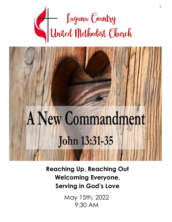

# A New Commandment **John 13:31-35**

**Reaching Up, Reaching Out Welcoming Everyone, Serving in God's Love**

> May 15th, 2022 9:30 AM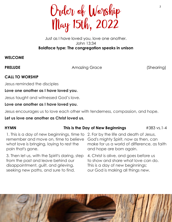

### Just as I have loved you, love one another. John 13:34 **Boldface type: The congregation speaks in unison**

# **WELCOME**

**PRELUDE** Amazing Grace (Shearing)

# **CALL TO WORSHIP**

Jesus reminded the disciples

# **Love one another as I have loved you.**

Jesus taught and witnessed God's love.

# **Love one another as I have loved you.**

Jesus encourages us to love each other with tenderness, compassion, and hope.

# **Let us love one another as Christ loved us.**

# **HYMN** This is the Day of New Beginnings #383 vs.1-4

 1. This is a day of new beginnings, time to 2. For by the life and death of Jesus, remember and move on, time to believe what love is bringing, laying to rest the pain that's gone.

3. Then let us, with the Spirit's daring, step from the past and leave behind our disappointment, guilt, and grieving, seeking new paths, and sure to find.

God's mighty Spirit, now as then, can make for us a world of difference, as faith and hope are born again.

4. Christ is alive, and goes before us to show and share what love can do. This is a day of new beginnings; our God is making all things new.

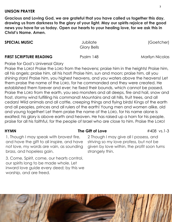# **UNISON PRAYER**

**Gracious and Loving God, we are grateful that you have called us together this day, drawing us from darkness to the glory of your light. May our spirits rejoice at the good news you have for us today. Open our hearts to your healing love, for we ask this in Christ's Name. Amen.**

### **SPECIAL MUSIC** Jubilate (Goetcher)

Glory Bells

# **FIRST SCRIPTURE READING** Psalm 148 Marilyn Nicolas

Praise for God's Universal Glory

Praise the LORD! Praise the LORD from the heavens; praise him in the heights! Praise him, all his angels; praise him, all his host! Praise him, sun and moon; praise him, all you shining stars! Praise him, you highest heavens, and you waters above the heavens! Let them praise the name of the LORD, for he commanded and they were created. He established them forever and ever; he fixed their bounds, which cannot be passed. Praise the LORD from the earth, you sea monsters and all deeps, fire and hail, snow and frost, stormy wind fulfilling his command! Mountains and all hills, fruit trees, and all cedars! Wild animals and all cattle, creeping things and flying birds! Kings of the earth and all peoples, princes and all rulers of the earth! Young men and women alike, old and young together! Let them praise the name of the LORD, for his name alone is exalted; his glory is above earth and heaven. He has raised up a horn for his people, praise for all his faithful, for the people of Israel who are close to him. Praise the LORD!

1. Though I may speak with bravest fire, and have the gift to all inspire, and have not love, my words are vain, as sounding brass, and hopeless gain.

3. Come, Spirit, come, our hearts control, our spirits long to be made whole. Let inward love guide every deed; by this we worship, and are freed.

# **HYMN** The Gift of Love  $\#408$  vs.1-3

2 Though I may give all I possess, and striving so my love profess, but not be given by love within, the profit soon turns strangely thin.

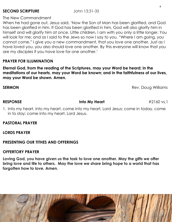# **SECOND SCRIPTURE** John 13:31-35

The New Commandment

When he had gone out, Jesus said, 'Now the Son of Man has been glorified, and God has been glorified in him. If God has been glorified in him, God will also glorify him in himself and will glorify him at once. Little children, I am with you only a little longer. You will look for me; and as I said to the Jews so now I say to you, "Where I am going, you cannot come." I give you a new commandment, that you love one another. Just as I have loved you, you also should love one another. By this everyone will know that you are my disciples if you have love for one another.'

# **PRAYER FOR ILLUMINATION**

**Eternal God, from the reading of the Scriptures, may your Word be heard; in the meditations of our hearts, may your Word be known; and in the faithfulness of our lives, may your Word be shown. Amen.**

### **SERMON Rev. Doug Williams**

**RESPONSE Into My Heart** *#2160 vs.1* 

1. Into my heart, into my heart, come into my heart, Lord Jesus; come in today, come in to stay; come into my heart, Lord Jesus.

**PASTORAL PRAYER**

**LORDS PRAYER**

# **PRESENTING OUR TITHES AND OFFERINGS**

# **OFFERTORY PRAYER**

**Loving God, you have given us the task to love one another. May the gifts we offer bring love and life to others. May the love we share bring hope to a world that has forgotten how to love. Amen.**

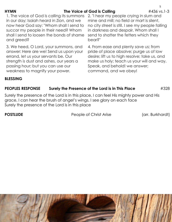### **HYMN** The Voice of God is Calling #436 vs.1-3

1. The voice of God is calling its summons in our day; Isaiah heard in Zion, and we now hear God say: "Whom shall I send to succor my people in their need? Whom shall I send to loosen the bonds of shame and greed?

3. We heed, O Lord, your summons, and answer: Here are we! Send us upon your errand, let us your servants be. Our strength is dust and ashes, our years a passing hour; but you can use our weakness to magnify your power.

2. "I hear my people crying in slum and mine and mill; no field or mart is silent, no city street is still. I see my people falling in darkness and despair. Whom shall I send to shatter the fetters which they bear?"

4. From ease and plenty save us; from pride of place absolve; purge us of low desire; lift us to high resolve; take us, and make us holy; teach us your will and way. Speak, and behold! we answer; command, and we obey!

### **BLESSING**

# **PEOPLES RESPONSE Surely the Presence of the Lord is in This Place** #328

Surely the presence of the Lord is in this place, I can feel His mighty power and His grace, I can hear the brush of angel's wings, I see glory on each face Surely the presence of the Lord is in this place

**POSTLUDE** Post People of Christ Arise (arr. Burkhardt)



5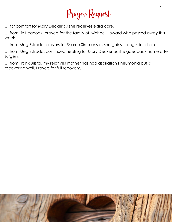

… for comfort for Mary Decker as she receives extra care.

… from Liz Heacock, prayers for the family of Michael Howard who passed away this week.

… from Meg Estrada, prayers for Sharon Simmons as she gains strength in rehab.

… from Meg Estrada, continued healing for Mary Decker as she goes back home after surgery.

… from Frank Bristol, my relatives mother has had aspiration Pneumonia but is recovering well. Prayers for full recovery.